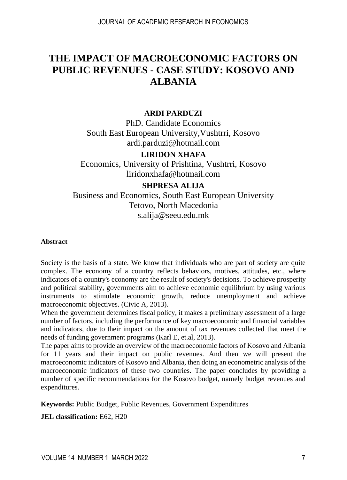# **THE IMPACT OF MACROECONOMIC FACTORS ON PUBLIC REVENUES - CASE STUDY: KOSOVO AND ALBANIA**

#### **ARDI PARDUZI**

PhD. Candidate Economics South East European University,Vushtrri, Kosovo [ardi.parduzi@hotmail.com](mailto:ardi.parduzi@hotmail.com)

#### **LIRIDON XHAFA**

Economics, University of Prishtina, Vushtrri, Kosovo [liridonxhafa@hotmail.com](mailto:liridonxhafa@hotmail.com)

#### **SHPRESA ALIJA**

Business and Economics, South East European University Tetovo, North Macedonia [s.alija@seeu.edu.mk](mailto:s.alija@seeu.edu.mk)

#### **Abstract**

Society is the basis of a state. We know that individuals who are part of society are quite complex. The economy of a country reflects behaviors, motives, attitudes, etc., where indicators of a country's economy are the result of society's decisions. To achieve prosperity and political stability, governments aim to achieve economic equilibrium by using various instruments to stimulate economic growth, reduce unemployment and achieve macroeconomic objectives. (Civic A, 2013).

When the government determines fiscal policy, it makes a preliminary assessment of a large number of factors, including the performance of key macroeconomic and financial variables and indicators, due to their impact on the amount of tax revenues collected that meet the needs of funding government programs (Karl E, et.al, 2013).

The paper aims to provide an overview of the macroeconomic factors of Kosovo and Albania for 11 years and their impact on public revenues. And then we will present the macroeconomic indicators of Kosovo and Albania, then doing an econometric analysis of the macroeconomic indicators of these two countries. The paper concludes by providing a number of specific recommendations for the Kosovo budget, namely budget revenues and expenditures.

**Keywords:** Public Budget, Public Revenues, Government Expenditures

**JEL classification:** E62, H20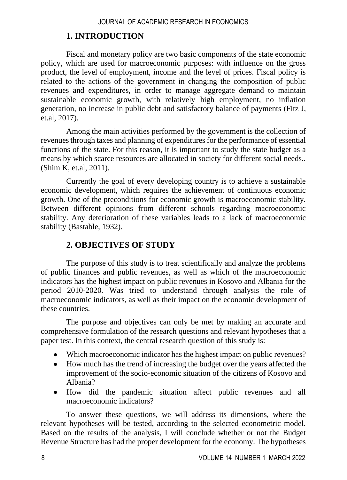### **1. INTRODUCTION**

Fiscal and monetary policy are two basic components of the state economic policy, which are used for macroeconomic purposes: with influence on the gross product, the level of employment, income and the level of prices. Fiscal policy is related to the actions of the government in changing the composition of public revenues and expenditures, in order to manage aggregate demand to maintain sustainable economic growth, with relatively high employment, no inflation generation, no increase in public debt and satisfactory balance of payments (Fitz J, et.al, 2017).

Among the main activities performed by the government is the collection of revenues through taxes and planning of expenditures for the performance of essential functions of the state. For this reason, it is important to study the state budget as a means by which scarce resources are allocated in society for different social needs.. (Shim K, et.al, 2011).

Currently the goal of every developing country is to achieve a sustainable economic development, which requires the achievement of continuous economic growth. One of the preconditions for economic growth is macroeconomic stability. Between different opinions from different schools regarding macroeconomic stability. Any deterioration of these variables leads to a lack of macroeconomic stability (Bastable, 1932).

## **2. OBJECTIVES OF STUDY**

The purpose of this study is to treat scientifically and analyze the problems of public finances and public revenues, as well as which of the macroeconomic indicators has the highest impact on public revenues in Kosovo and Albania for the period 2010-2020. Was tried to understand through analysis the role of macroeconomic indicators, as well as their impact on the economic development of these countries.

The purpose and objectives can only be met by making an accurate and comprehensive formulation of the research questions and relevant hypotheses that a paper test. In this context, the central research question of this study is:

- Which macroeconomic indicator has the highest impact on public revenues?
- How much has the trend of increasing the budget over the years affected the improvement of the socio-economic situation of the citizens of Kosovo and Albania?
- How did the pandemic situation affect public revenues and all macroeconomic indicators?

To answer these questions, we will address its dimensions, where the relevant hypotheses will be tested, according to the selected econometric model. Based on the results of the analysis, I will conclude whether or not the Budget Revenue Structure has had the proper development for the economy. The hypotheses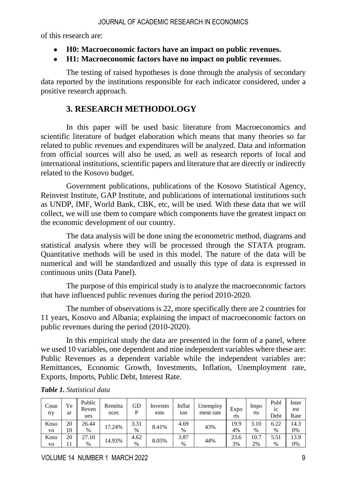of this research are:

- **H0: Macroeconomic factors have an impact on public revenues.**
- **H1: Macroeconomic factors have no impact on public revenues.**

The testing of raised hypotheses is done through the analysis of secondary data reported by the institutions responsible for each indicator considered, under a positive research approach.

### **3. RESEARCH METHODOLOGY**

In this paper will be used basic literature from Macroeconomics and scientific literature of budget elaboration which means that many theories so far related to public revenues and expenditures will be analyzed. Data and information from official sources will also be used, as well as research reports of local and international institutions, scientific papers and literature that are directly or indirectly related to the Kosovo budget.

Government publications, publications of the Kosovo Statistical Agency, Reinvest Institute, GAP Institute, and publications of international institutions such as UNDP, IMF, World Bank, CBK, etc, will be used. With these data that we will collect, we will use them to compare which components have the greatest impact on the economic development of our country.

The data analysis will be done using the econometric method, diagrams and statistical analysis where they will be processed through the STATA program. Quantitative methods will be used in this model. The nature of the data will be numerical and will be standardized and usually this type of data is expressed in continuous units (Data Panel).

The purpose of this empirical study is to analyze the macroeconomic factors that have influenced public revenues during the period 2010-2020.

The number of observations is 22, more specifically there are 2 countries for 11 years, Kosovo and Albania; explaining the impact of macroeconomic factors on public revenues during the period (2010-2020).

In this empirical study the data are presented in the form of a panel, where we used 10 variables, one dependent and nine independent variables where these are: Public Revenues as a dependent variable while the independent variables are: Remittances, Economic Growth, Investments, Inflation, Unemployment rate, Exports, Imports, Public Debt, Interest Rate.

| Coun<br>try    | Ye<br>ar | Public<br>Reven<br>ues | Remitta<br>nces | GD<br>D | Investm<br>ents | Inflat<br>10 <sub>n</sub> | Unemploy<br>ment rate | Expo<br>rts | Impo<br>rts | Publ<br>1C<br>Debt | Inter<br>est<br>Rate |
|----------------|----------|------------------------|-----------------|---------|-----------------|---------------------------|-----------------------|-------------|-------------|--------------------|----------------------|
| Koso           | 20       | 26.44                  | 17.24%          | 3.31    | 8.41%           | 4.69                      | 43%                   | 19.9        | 3.10        | 6.22               | 14.3                 |
| VO             | 10       | $\%$                   |                 | $\%$    |                 | $\%$                      |                       | 4%          | $\%$        | %                  | 0%                   |
| Koso           | 20       | 27.10                  | 14.93%          | 4.62    | 8.05%           | 3.87                      | 44%                   | 23.6        | 10.7        | 5.51               | 13.9                 |
| V <sub>O</sub> |          | $\%$                   |                 | $\%$    |                 | $\%$                      |                       | 3%          | 2%          | $\frac{0}{0}$      | 0%                   |

*Table 1. Statistical data*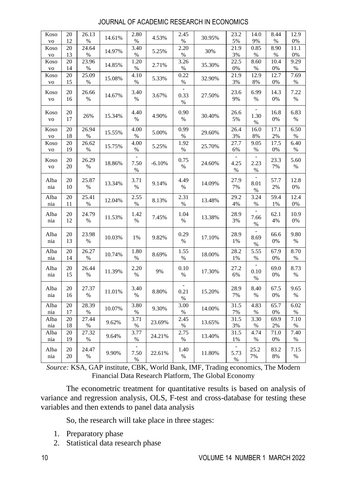| Koso<br><b>VO</b>                  | 20<br>12 | 26.13<br>%    | 14.61% | 2.80<br>$\%$                  | 4.53%    | 2.45<br>$\%$ | 30.95% | 23.2<br>5%        | 14.0<br>9%          | 8.44<br>%     | 12.9<br>0%   |
|------------------------------------|----------|---------------|--------|-------------------------------|----------|--------------|--------|-------------------|---------------------|---------------|--------------|
| Koso<br><b>VO</b>                  | 20<br>13 | 24.64<br>$\%$ | 14.97% | 3.40<br>$\%$                  | 5.25%    | 2.20<br>$\%$ | 30%    | 21.9<br>3%        | 0.85<br>%           | 8.90<br>$\%$  | 11.1<br>0%   |
| Koso                               | 20<br>14 | 23.96<br>$\%$ | 14.85% | 1.20<br>$\%$                  | 2.71%    | 3.26<br>$\%$ | 35.30% | 22.5<br>0%        | 8.60<br>$\%$        | 10.4<br>$0\%$ | 9.29<br>$\%$ |
| $_{\rm VO}$<br>Koso<br>$_{\rm VO}$ | 20<br>15 | 25.09<br>$\%$ | 15.08% | 4.10<br>$\%$                  | 5.33%    | 0.22<br>$\%$ | 32.90% | 21.9<br>3%        | 12.9<br>8%          | 12.7<br>0%    | 7.69<br>%    |
| Koso<br><b>VO</b>                  | 20<br>16 | 26.66<br>%    | 14.67% | 3.40<br>$\%$                  | 3.67%    | 0.33<br>$\%$ | 27.50% | 23.6<br>9%        | 6.99<br>%           | 14.3<br>0%    | 7.22<br>$\%$ |
| Koso<br>$_{\rm VO}$                | 20<br>17 | 26%           | 15.34% | 4.40<br>%                     | 4.90%    | 0.90<br>$\%$ | 30.40% | 26.6<br>5%        | 1.30<br>$\%$        | 16.8<br>$0\%$ | 6.83<br>$\%$ |
| Koso<br>$_{\rm VO}$                | 20<br>18 | 26.94<br>$\%$ | 15.55% | 4.00<br>$\%$                  | 5.00%    | 0.99<br>$\%$ | 29.60% | 26.4<br>3%        | 16.0<br>8%          | 17.1<br>$2\%$ | 6.50<br>$\%$ |
| Koso<br><b>VO</b>                  | 20<br>19 | 26.62<br>$\%$ | 15.75% | 4.00<br>$\%$                  | 5.25%    | 1.92<br>$\%$ | 25.70% | 27.7<br>6%        | 9.05<br>$\%$        | 17.5<br>0%    | 6.40<br>$\%$ |
| Koso<br><b>VO</b>                  | 20<br>20 | 26.29<br>$\%$ | 18.86% | $\frac{1}{2}$<br>7.50<br>$\%$ | $-6.10%$ | 0.75<br>$\%$ | 24.60% | ÷<br>4.25<br>$\%$ | $\sim$<br>2.23<br>% | 23.3<br>7%    | 5.60<br>%    |
| Alba<br>nia                        | 20<br>10 | 25.87<br>%    | 13.34% | 3.71<br>%                     | 9.14%    | 4.49<br>$\%$ | 14.09% | 27.9<br>7%        | 8.01<br>%           | 57.7<br>2%    | 12.8<br>0%   |
| Alba<br>nia                        | 20<br>11 | 25.41<br>%    | 12.04% | 2.55<br>$\%$                  | 8.13%    | 2.31<br>$\%$ | 13.48% | 29.2<br>4%        | 3.24<br>%           | 59.4<br>1%    | 12.4<br>0%   |
| Alba<br>nia                        | 20<br>12 | 24.79<br>$\%$ | 11.53% | 1.42<br>$\%$                  | 7.45%    | 1.04<br>$\%$ | 13.38% | 28.9<br>$3\%$     | 7.66<br>%           | 62.1<br>4%    | 10.9<br>0%   |
| Alba<br>nia                        | 20<br>13 | 23.98<br>%    | 10.03% | 1%                            | 9.82%    | 0.29<br>$\%$ | 17.10% | 28.9<br>1%        | 8.69<br>$\%$        | 66.6<br>0%    | 9.80<br>$\%$ |
| Alba<br>nia                        | 20<br>14 | 26.27<br>$\%$ | 10.74% | 1.80<br>$\%$                  | 8.69%    | 1.55<br>$\%$ | 18.00% | 28.2<br>1%        | 5.55<br>%           | 67.9<br>0%    | 8.70<br>$\%$ |
| Alba<br>nia                        | 20<br>15 | 26.44<br>$\%$ | 11.39% | 2.20<br>$\%$                  | 9%       | 0.10<br>$\%$ | 17.30% | 27.2<br>6%        | 0.10<br>$\%$        | 69.0<br>0%    | 8.73<br>%    |
| Alba<br>nia                        | 20<br>16 | 27.37<br>$\%$ | 11.01% | 3.40<br>$\%$                  | 8.80%    | 0.21<br>$\%$ | 15.20% | 28.9<br>$7\%$     | 8.40<br>$\%$        | 67.5<br>0%    | 9.65<br>$\%$ |
| Alba<br>nia                        | 20<br>17 | 28.39<br>%    | 10.07% | 3.80<br>%                     | 9.30%    | 3.00<br>$\%$ | 14.00% | 31.5<br>7%        | 4.83<br>%           | 65.7<br>0%    | 6.02<br>%    |
| Alba<br>nia                        | 20<br>18 | 27.44<br>$\%$ | 9.62%  | 3.71<br>$\%$                  | 23.69%   | 2.45<br>$\%$ | 13.65% | 31.5<br>$3\%$     | 3.30<br>$\%$        | 69.9<br>2%    | 7.10<br>$\%$ |
| Alba<br>nia                        | 20<br>19 | 27.32<br>%    | 9.64%  | 3.77<br>%                     | 24.21%   | 2.75<br>$\%$ | 13.40% | 31.5<br>1%        | 4.74<br>%           | 71.0<br>0%    | 7.40<br>$\%$ |
| Alba<br>nia                        | 20<br>20 | 24.47<br>$\%$ | 9.90%  | 7.50<br>%                     | 22.61%   | 1.40<br>%    | 11.80% | 5.73<br>%         | 25.2<br>7%          | 83.2<br>8%    | 7.15<br>$\%$ |

#### JOURNAL OF ACADEMIC RESEARCH IN ECONOMICS

*Source:* KSA, GAP institute, CBK, World Bank, IMF, Trading economics, The Modern Financial Data Research Platform, The Global Economy

The econometric treatment for quantitative results is based on analysis of variance and regression analysis, OLS, F-test and cross-database for testing these variables and then extends to panel data analysis

So, the research will take place in three stages:

- 1. Preparatory phase
- 2. Statistical data research phase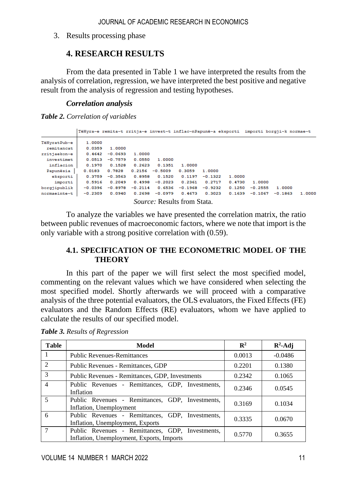3. Results processing phase

### **4. RESEARCH RESULTS**

From the data presented in Table 1 we have interpreted the results from the analysis of correlation, regression, we have interpreted the best positive and negative result from the analysis of regression and testing hypotheses.

#### *Correlation analysis*

*Table 2. Correlation of variables*

|              | TëHyra~e remita~t rritja~e invest~t inflac~nPapunë~a eksporti importi borgji~k normae~t |           |           |                                    |           |           |        |           |           |        |
|--------------|-----------------------------------------------------------------------------------------|-----------|-----------|------------------------------------|-----------|-----------|--------|-----------|-----------|--------|
| TëHvratPub~e | 1,0000                                                                                  |           |           |                                    |           |           |        |           |           |        |
| remitancat   | 0.0359                                                                                  | 1.0000    |           |                                    |           |           |        |           |           |        |
| rritjaekon~e | 0.4642                                                                                  | $-0.0693$ | 1.0000    |                                    |           |           |        |           |           |        |
| investimet   | 0.0513                                                                                  | $-0.7579$ | 0.0550    | 1.0000                             |           |           |        |           |           |        |
| inflacion    | 0.1970                                                                                  | 0.1528    | 0.2623    | 0.1351                             | 1,0000    |           |        |           |           |        |
| Papunësia    | 0.0183                                                                                  | 0.7828    | 0.2156    | $-0.5009$                          | 0.3059    | 1,0000    |        |           |           |        |
| eksporti     | 0.3759                                                                                  | $-0.3563$ | 0.8958    | 0.1520                             | 0.1197    | $-0.1322$ | 1,0000 |           |           |        |
| importi      | 0.5916                                                                                  | 0.2049    | 0.4998    | $-0.2023$                          | 0.2361    | 0.2717    | 0.4730 | 1,0000    |           |        |
| borgjipublik | $-0.0396$                                                                               | $-0.8978$ | $-0.2114$ | 0.6536                             | $-0.1968$ | $-0.9232$ | 0.1250 | $-0.2555$ | 1.0000    |        |
| normaeinte~t | $-0.2309$                                                                               | 0.0940    | 0.2698    | $-0.0979$                          | 0.4673    | 0.3023    | 0.1639 | $-0.1067$ | $-0.1863$ | 1.0000 |
|              |                                                                                         |           |           | <i>Source:</i> Results from Stata. |           |           |        |           |           |        |

To analyze the variables we have presented the correlation matrix, the ratio between public revenues of macroeconomic factors, where we note that import is the only variable with a strong positive correlation with (0.59).

#### **4.1. SPECIFICATION OF THE ECONOMETRIC MODEL OF THE THEORY**

In this part of the paper we will first select the most specified model, commenting on the relevant values which we have considered when selecting the most specified model. Shortly afterwards we will proceed with a comparative analysis of the three potential evaluators, the OLS evaluators, the Fixed Effects (FE) evaluators and the Random Effects (RE) evaluators, whom we have applied to calculate the results of our specified model.

| <b>Table</b>             | Model                                                                                         | $\mathbb{R}^2$ | $R^2$ -Adj |
|--------------------------|-----------------------------------------------------------------------------------------------|----------------|------------|
|                          | <b>Public Revenues-Remittances</b>                                                            | 0.0013         | $-0.0486$  |
| $\overline{2}$           | Public Revenues - Remittances, GDP                                                            | 0.2201         | 0.1380     |
| 3                        | Public Revenues - Remittances, GDP, Investments                                               | 0.2342         | 0.1065     |
| $\overline{\mathcal{A}}$ | Public Revenues - Remittances, GDP, Investments,<br>Inflation                                 | 0.2346         | 0.0545     |
| $\overline{\phantom{0}}$ | Public Revenues - Remittances, GDP, Investments,<br>Inflation, Unemployment                   | 0.3169         | 0.1034     |
| 6                        | Public Revenues - Remittances, GDP, Investments,<br>Inflation, Unemployment, Exports          | 0.3335         | 0.0670     |
|                          | Public Revenues - Remittances, GDP, Investments,<br>Inflation, Unemployment, Exports, Imports | 0.5770         | 0.3655     |

*Table 3. Results of Regression*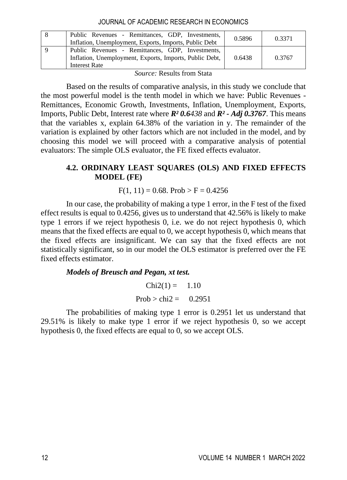#### JOURNAL OF ACADEMIC RESEARCH IN ECONOMICS

|                                       | Public Revenues - Remittances, GDP, Investments,                                                            | 0.5896 | 0.3371 |  |  |  |  |
|---------------------------------------|-------------------------------------------------------------------------------------------------------------|--------|--------|--|--|--|--|
|                                       | Inflation, Unemployment, Exports, Imports, Public Debt                                                      |        |        |  |  |  |  |
|                                       | Public Revenues - Remittances, GDP, Investments,<br>Inflation, Unemployment, Exports, Imports, Public Debt, | 0.6438 | 0.3767 |  |  |  |  |
|                                       | Interest Rate                                                                                               |        |        |  |  |  |  |
| ___<br>$\sim$ $\sim$ $\sim$<br>$\sim$ |                                                                                                             |        |        |  |  |  |  |

*Source:* Results from Stata

Based on the results of comparative analysis, in this study we conclude that the most powerful model is the tenth model in which we have: Public Revenues - Remittances, Economic Growth, Investments, Inflation, Unemployment, Exports, Imports, Public Debt, Interest rate where *R² 0.6438* and *R² - Adj 0.3767*. This means that the variables x, explain 64.38% of the variation in y. The remainder of the variation is explained by other factors which are not included in the model, and by choosing this model we will proceed with a comparative analysis of potential evaluators: The simple OLS evaluator, the FE fixed effects evaluator.

#### **4.2. ORDINARY LEAST SQUARES (OLS) AND FIXED EFFECTS MODEL (FE)**

#### $F(1, 11) = 0.68$ . Prob > F = 0.4256

In our case, the probability of making a type 1 error, in the F test of the fixed effect results is equal to 0.4256, gives us to understand that 42.56% is likely to make type 1 errors if we reject hypothesis 0, i.e. we do not reject hypothesis 0, which means that the fixed effects are equal to 0, we accept hypothesis 0, which means that the fixed effects are insignificant. We can say that the fixed effects are not statistically significant, so in our model the OLS estimator is preferred over the FE fixed effects estimator.

#### *Models of Breusch and Pegan, xt test.*

 $Chi2(1) = 1.10$  $Prob > chi2 = 0.2951$ 

The probabilities of making type 1 error is 0.2951 let us understand that 29.51% is likely to make type 1 error if we reject hypothesis 0, so we accept hypothesis 0, the fixed effects are equal to 0, so we accept OLS.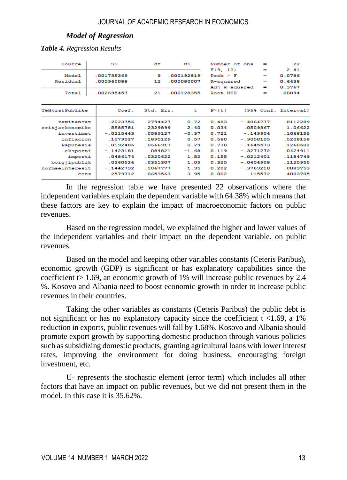#### *Model of Regression*

*Table 4. Regression Results*

| Source            |  | SS                      | df                                 | мs      | Number of obs                     |             | $=$           | 22                       |
|-------------------|--|-------------------------|------------------------------------|---------|-----------------------------------|-------------|---------------|--------------------------|
| Model<br>Residual |  | 001735369<br>.000960088 | 9<br>000192819<br>12<br>.000080007 |         | F(9, 12)<br>Prob > F<br>R-squared |             | -<br>-<br>$=$ | 2.41<br>0.0786<br>0.6438 |
| Total             |  | .002695457              | .000128355<br>21                   |         | Adj R-squared<br>Root MSE         |             | $=$<br>$=$    | 0.3767<br>.00894         |
| TëHyratPublike    |  | Coef.                   | Std. Err.                          | t       | P >  t                            |             |               | [95% Conf. Interval]     |
| remitancat        |  | .2023756                | .2794427                           | 0.72    | 0.483                             | $-.4064777$ |               | .8112289                 |
| rritjaekonomike   |  | 5585781                 | 2329899                            | 2.40    | 0.034                             | .0509367    |               | 1.06622                  |
| investimet        |  | $-0.215443$             | .0589127                           | $-0.37$ | 0.721                             | $-.149904$  |               | .1068155                 |
| inflacion         |  | .1079027                | .1895129                           | 0.57    | 0.580                             | $-.3050105$ |               | .5208158                 |
| Papunësia         |  | $-.0192486$             | .0666917                           | $-0.29$ | 0.778                             | $-.1645573$ |               | .1260602                 |
| eksporti          |  | $-.1423181$             | .084821                            | $-1.68$ | 0.119                             | $-.3271272$ |               | .0424911                 |
| importi           |  | 0486174                 | .0320622                           | 1.52    | 0.155                             | $-0212401$  |               | .1184749                 |
| borgjipublik      |  | .0360524                | .0351307                           | 1.03    | 0.325                             | $-.0404908$ |               | .1125955                 |
| normaeinteresit   |  | $-.1442732$             | 1067777                            | $-1.35$ | 0.202                             | $-3769218$  |               | 0883753                  |
| $\_cons$          |  | .2579712                | .0653563                           | 3.95    | 0.002                             |             | .115572       | .4003705                 |

In the regression table we have presented 22 observations where the independent variables explain the dependent variable with 64.38% which means that these factors are key to explain the impact of macroeconomic factors on public revenues.

Based on the regression model, we explained the higher and lower values of the independent variables and their impact on the dependent variable, on public revenues.

Based on the model and keeping other variables constants (Ceteris Paribus), economic growth (GDP) is significant or has explanatory capabilities since the coefficient  $> 1.69$ , an economic growth of 1% will increase public revenues by 2.4 %. Kosovo and Albania need to boost economic growth in order to increase public revenues in their countries.

Taking the other variables as constants (Ceteris Paribus) the public debt is not significant or has no explanatory capacity since the coefficient  $t < 1.69$ , a 1% reduction in exports, public revenues will fall by 1.68%. Kosovo and Albania should promote export growth by supporting domestic production through various policies such as subsidizing domestic products, granting agricultural loans with lower interest rates, improving the environment for doing business, encouraging foreign investment, etc.

U- represents the stochastic element (error term) which includes all other factors that have an impact on public revenues, but we did not present them in the model. In this case it is 35.62%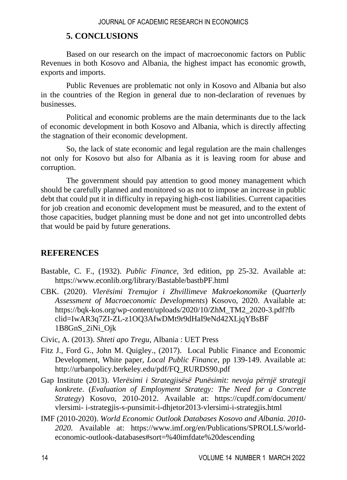### **5. CONCLUSIONS**

Based on our research on the impact of macroeconomic factors on Public Revenues in both Kosovo and Albania, the highest impact has economic growth, exports and imports.

Public Revenues are problematic not only in Kosovo and Albania but also in the countries of the Region in general due to non-declaration of revenues by businesses.

Political and economic problems are the main determinants due to the lack of economic development in both Kosovo and Albania, which is directly affecting the stagnation of their economic development.

So, the lack of state economic and legal regulation are the main challenges not only for Kosovo but also for Albania as it is leaving room for abuse and corruption.

The government should pay attention to good money management which should be carefully planned and monitored so as not to impose an increase in public debt that could put it in difficulty in repaying high-cost liabilities. Current capacities for job creation and economic development must be measured, and to the extent of those capacities, budget planning must be done and not get into uncontrolled debts that would be paid by future generations.

### **REFERENCES**

- Bastable, C. F., (1932). *Public Finance*, 3rd edition, pp 25-32. Available at: <https://www.econlib.org/library/Bastable/bastbPF.html>
- CBK. (2020). *Vlerësimi Tremujor i Zhvillimeve Makroekonomike* (*Quarterly Assessment of Macroeconomic Developments*) Kosovo, 2020. Available at: [https://bqk-kos.org/wp-content/uploads/2020/10/ZhM\\_TM2\\_2020-3.pdf?fb](https://bqk-kos.org/wp-content/uploads/2020/10/ZhM_TM2_2020-3.pdf?fb%20clid=IwAR3q7ZI-ZL-z1OQ3AfwDMt9r9dHaI9eNd42XLjqYBsBF%201B8GnS_2iNi_Ojk) [clid=IwAR3q7ZI-ZL-z1OQ3AfwDMt9r9dHaI9eNd42XLjqYBsBF](https://bqk-kos.org/wp-content/uploads/2020/10/ZhM_TM2_2020-3.pdf?fb%20clid=IwAR3q7ZI-ZL-z1OQ3AfwDMt9r9dHaI9eNd42XLjqYBsBF%201B8GnS_2iNi_Ojk) [1B8GnS\\_2iNi\\_Ojk](https://bqk-kos.org/wp-content/uploads/2020/10/ZhM_TM2_2020-3.pdf?fb%20clid=IwAR3q7ZI-ZL-z1OQ3AfwDMt9r9dHaI9eNd42XLjqYBsBF%201B8GnS_2iNi_Ojk)

Civic, A. (2013). *Shteti apo Tregu*, Albania : UET Press

- Fitz J., Ford G., John M. Quigley., (2017). Local Public Finance and Economic Development, White paper, *Local Public Finance*, pp 139-149. Available at: [http://urbanpolicy.berkeley.edu/pdf/FQ\\_RURDS90.pdf](http://urbanpolicy.berkeley.edu/pdf/FQ_RURDS90.pdf)
- Gap Institute (2013). *Vlerësimi i Strategjisësë Punësimit: nevoja përnjë strategji konkrete*. (*Evaluation of Employment Strategy: The Need for a Concrete Strategy*) Kosovo, 2010-2012. Available at: [https://cupdf.com/document/](https://cupdf.com/document/%20vlersimi-%20i-strategjis-s-punsimit-i-dhjetor2013-vlersimi-i-strategjis.html)  vlersimi- [i-strategjis-s-punsimit-i-dhjetor2013-vlersimi-i-strategjis.html](https://cupdf.com/document/%20vlersimi-%20i-strategjis-s-punsimit-i-dhjetor2013-vlersimi-i-strategjis.html)
- IMF (2010-2020). *World Economic Outlook Databases Kosovo and Albania. 2010- 2020*. Available at: [https://www.imf.org/en/Publications/SPROLLS/world](https://www.imf.org/en/Publications/SPROLLS/world-economic-outlook-databases#sort=%40imfdate%20descending)[economic-outlook-databases#sort=%40imfdate%20descending](https://www.imf.org/en/Publications/SPROLLS/world-economic-outlook-databases#sort=%40imfdate%20descending)